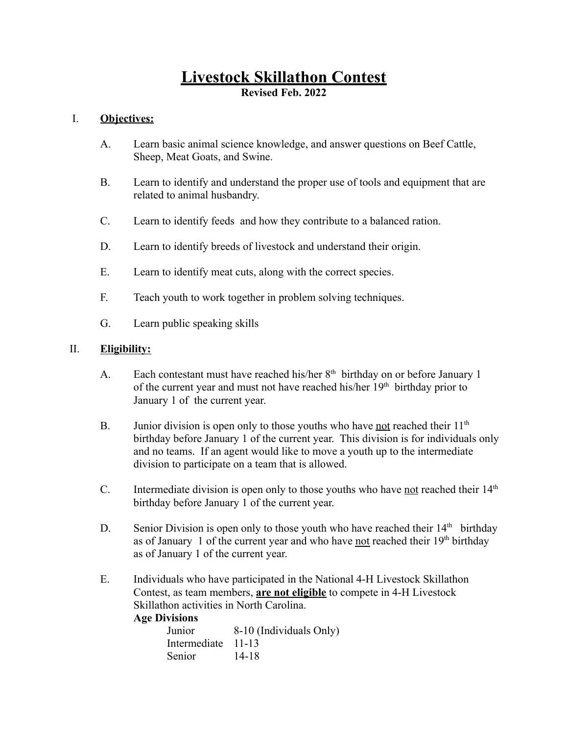# **Livestock Skillathon Contest**

**Revised Feb. 2022**

# I. **Objectives:**

- A. Learn basic animal science knowledge, and answer questions on Beef Cattle, Sheep, Meat Goats, and Swine.
- B. Learn to identify and understand the proper use of tools and equipment that are related to animal husbandry.
- C. Learn to identify feeds and how they contribute to a balanced ration.
- D. Learn to identify breeds of livestock and understand their origin.
- E. Learn to identify meat cuts, along with the correct species.
- F. Teach youth to work together in problem solving techniques.
- G. Learn public speaking skills

# II. **Eligibility:**

- A. Each contestant must have reached his/her  $8<sup>th</sup>$  birthday on or before January 1 of the current year and must not have reached his/her  $19<sup>th</sup>$  birthday prior to January 1 of the current year.
- B. Junior division is open only to those youths who have not reached their 11<sup>th</sup> birthday before January 1 of the current year. This division is for individuals only and no teams. If an agent would like to move a youth up to the intermediate division to participate on a team that is allowed.
- C. Intermediate division is open only to those youths who have not reached their  $14<sup>th</sup>$ birthday before January 1 of the current year.
- D. Senior Division is open only to those youth who have reached their  $14<sup>th</sup>$  birthday as of January 1 of the current year and who have not reached their  $19<sup>th</sup>$  birthday as of January 1 of the current year.
- E. Individuals who have participated in the National 4-H Livestock Skillathon Contest, as team members, **are not eligible** to compete in 4-H Livestock Skillathon activities in North Carolina.

# **Age Divisions**

| Junior             | 8-10 (Individuals Only) |
|--------------------|-------------------------|
| Intermediate 11-13 |                         |
| Senior             | 14-18                   |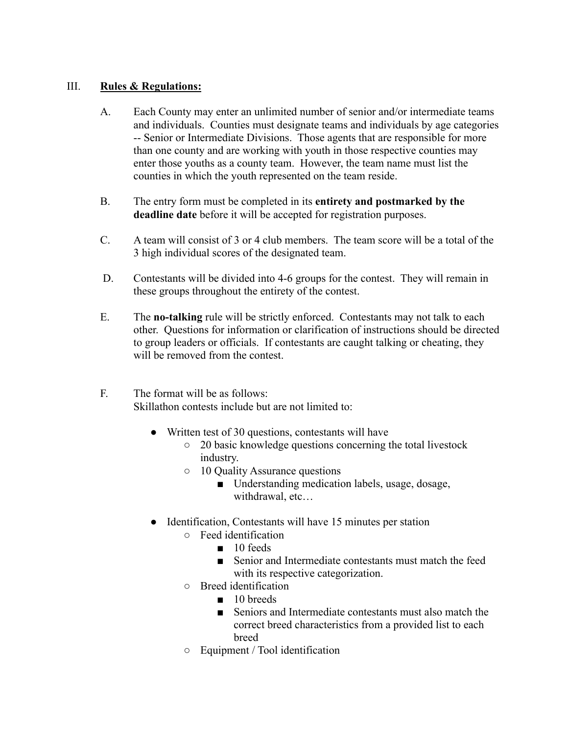## III. **Rules & Regulations:**

- A. Each County may enter an unlimited number of senior and/or intermediate teams and individuals. Counties must designate teams and individuals by age categories -- Senior or Intermediate Divisions. Those agents that are responsible for more than one county and are working with youth in those respective counties may enter those youths as a county team. However, the team name must list the counties in which the youth represented on the team reside.
- B. The entry form must be completed in its **entirety and postmarked by the deadline date** before it will be accepted for registration purposes.
- C. A team will consist of 3 or 4 club members. The team score will be a total of the 3 high individual scores of the designated team.
- D. Contestants will be divided into 4-6 groups for the contest. They will remain in these groups throughout the entirety of the contest.
- E. The **no-talking** rule will be strictly enforced. Contestants may not talk to each other. Questions for information or clarification of instructions should be directed to group leaders or officials. If contestants are caught talking or cheating, they will be removed from the contest.
- F. The format will be as follows: Skillathon contests include but are not limited to:
	- Written test of 30 questions, contestants will have
		- 20 basic knowledge questions concerning the total livestock industry.
		- 10 Quality Assurance questions
			- Understanding medication labels, usage, dosage, withdrawal, etc…
	- Identification, Contestants will have 15 minutes per station
		- Feed identification
			- 10 feeds
			- Senior and Intermediate contestants must match the feed with its respective categorization.
		- Breed identification
			- 10 breeds
			- Seniors and Intermediate contestants must also match the correct breed characteristics from a provided list to each breed
		- Equipment / Tool identification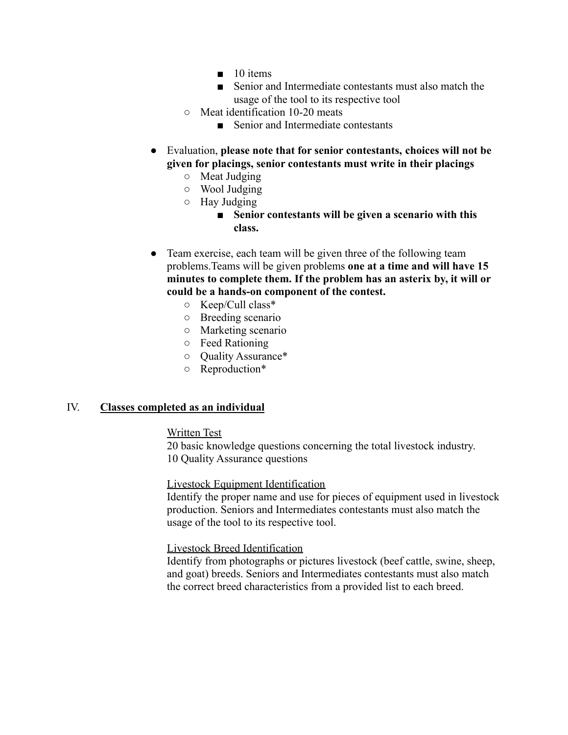- $\blacksquare$  10 items
- Senior and Intermediate contestants must also match the usage of the tool to its respective tool
- Meat identification 10-20 meats
	- Senior and Intermediate contestants
- Evaluation, **please note that for senior contestants, choices will not be given for placings, senior contestants must write in their placings**
	- Meat Judging
	- Wool Judging
	- Hay Judging
		- **■ Senior contestants will be given a scenario with this class.**
- Team exercise, each team will be given three of the following team problems.Teams will be given problems **one at a time and will have 15 minutes to complete them. If the problem has an asterix by, it will or could be a hands-on component of the contest.**
	- Keep/Cull class\*
	- Breeding scenario
	- Marketing scenario
	- Feed Rationing
	- Quality Assurance\*
	- Reproduction\*

## IV. **Classes completed as an individual**

#### Written Test

20 basic knowledge questions concerning the total livestock industry. 10 Quality Assurance questions

## Livestock Equipment Identification

Identify the proper name and use for pieces of equipment used in livestock production. Seniors and Intermediates contestants must also match the usage of the tool to its respective tool.

#### Livestock Breed Identification

Identify from photographs or pictures livestock (beef cattle, swine, sheep, and goat) breeds. Seniors and Intermediates contestants must also match the correct breed characteristics from a provided list to each breed.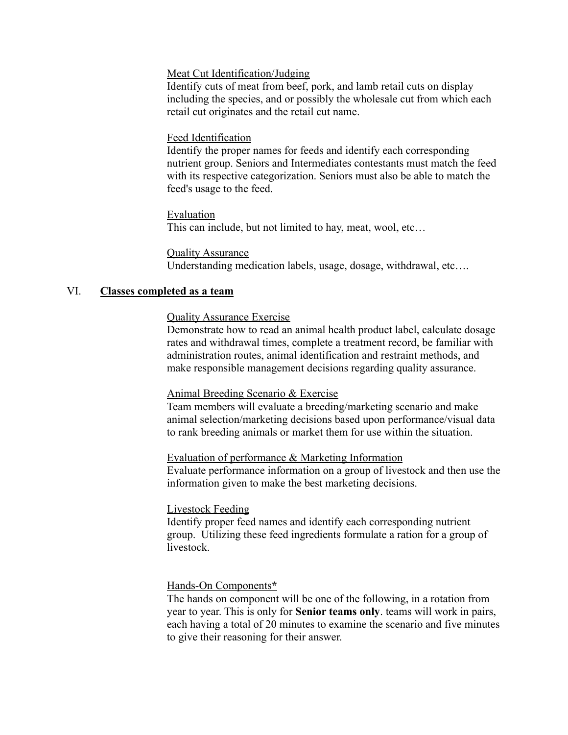## Meat Cut Identification/Judging

Identify cuts of meat from beef, pork, and lamb retail cuts on display including the species, and or possibly the wholesale cut from which each retail cut originates and the retail cut name.

#### Feed Identification

Identify the proper names for feeds and identify each corresponding nutrient group. Seniors and Intermediates contestants must match the feed with its respective categorization. Seniors must also be able to match the feed's usage to the feed.

Evaluation This can include, but not limited to hay, meat, wool, etc…

#### **Quality Assurance**

Understanding medication labels, usage, dosage, withdrawal, etc….

## VI. **Classes completed as a team**

#### Quality Assurance Exercise

Demonstrate how to read an animal health product label, calculate dosage rates and withdrawal times, complete a treatment record, be familiar with administration routes, animal identification and restraint methods, and make responsible management decisions regarding quality assurance.

#### Animal Breeding Scenario & Exercise

Team members will evaluate a breeding/marketing scenario and make animal selection/marketing decisions based upon performance/visual data to rank breeding animals or market them for use within the situation.

#### Evaluation of performance & Marketing Information

Evaluate performance information on a group of livestock and then use the information given to make the best marketing decisions.

#### Livestock Feeding

Identify proper feed names and identify each corresponding nutrient group. Utilizing these feed ingredients formulate a ration for a group of livestock.

## Hands-On Components**\***

The hands on component will be one of the following, in a rotation from year to year. This is only for **Senior teams only**. teams will work in pairs, each having a total of 20 minutes to examine the scenario and five minutes to give their reasoning for their answer.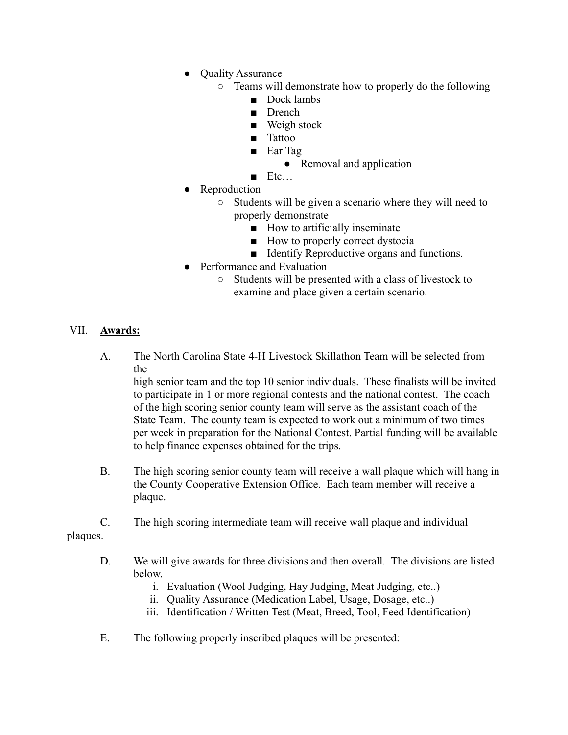- Quality Assurance
	- Teams will demonstrate how to properly do the following
		- Dock lambs
		- Drench
		- Weigh stock
		- Tattoo
		- Ear Tag

• Removal and application

- Etc…
- **Reproduction** 
	- Students will be given a scenario where they will need to properly demonstrate
		- How to artificially inseminate
		- How to properly correct dystocia
		- Identify Reproductive organs and functions.
- Performance and Evaluation
	- Students will be presented with a class of livestock to examine and place given a certain scenario.

# VII. **Awards:**

A. The North Carolina State 4-H Livestock Skillathon Team will be selected from the

high senior team and the top 10 senior individuals. These finalists will be invited to participate in 1 or more regional contests and the national contest. The coach of the high scoring senior county team will serve as the assistant coach of the State Team. The county team is expected to work out a minimum of two times per week in preparation for the National Contest. Partial funding will be available to help finance expenses obtained for the trips.

- B. The high scoring senior county team will receive a wall plaque which will hang in the County Cooperative Extension Office. Each team member will receive a plaque.
- C. The high scoring intermediate team will receive wall plaque and individual

# plaques.

- D. We will give awards for three divisions and then overall. The divisions are listed below.
	- i. Evaluation (Wool Judging, Hay Judging, Meat Judging, etc..)
	- ii. Quality Assurance (Medication Label, Usage, Dosage, etc..)
	- iii. Identification / Written Test (Meat, Breed, Tool, Feed Identification)
- E. The following properly inscribed plaques will be presented: